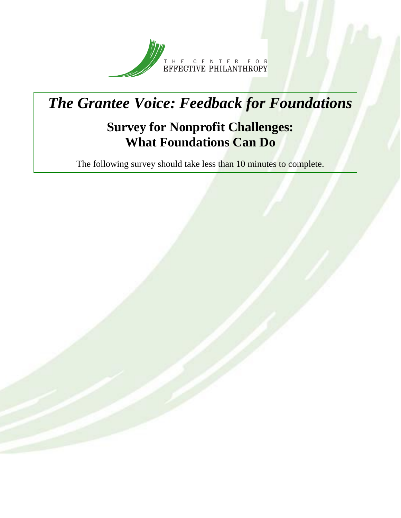

## *The Grantee Voice: Feedback for Foundations*

## **Survey for Nonprofit Challenges: What Foundations Can Do**

The following survey should take less than 10 minutes to complete.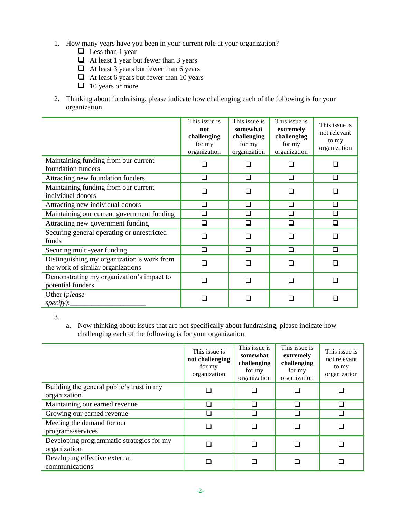- 1. How many years have you been in your current role at your organization?
	- $\Box$  Less than 1 year
	- $\Box$  At least 1 year but fewer than 3 years
	- $\Box$  At least 3 years but fewer than 6 years
	- $\Box$  At least 6 years but fewer than 10 years
	- $\Box$  10 years or more
- 2. Thinking about fundraising, please indicate how challenging each of the following is for your organization.

|                                                                                 | This issue is<br>not<br>challenging<br>for my<br>organization | This issue is<br>somewhat<br>challenging<br>for my<br>organization | This issue is<br>extremely<br>challenging<br>for my<br>organization | This issue is<br>not relevant<br>to my<br>organization |
|---------------------------------------------------------------------------------|---------------------------------------------------------------|--------------------------------------------------------------------|---------------------------------------------------------------------|--------------------------------------------------------|
| Maintaining funding from our current<br>foundation funders                      |                                                               |                                                                    |                                                                     |                                                        |
| Attracting new foundation funders                                               | ◻                                                             | ❏                                                                  | $\Box$                                                              | n                                                      |
| Maintaining funding from our current<br>individual donors                       | П                                                             |                                                                    |                                                                     | n                                                      |
| Attracting new individual donors                                                | ❏                                                             | ❏                                                                  | ❏                                                                   | ❏                                                      |
| Maintaining our current government funding                                      | $\Box$                                                        | $\Box$                                                             | П                                                                   | $\Box$                                                 |
| Attracting new government funding                                               | $\Box$                                                        | $\Box$                                                             | $\Box$                                                              | $\Box$                                                 |
| Securing general operating or unrestricted<br>funds                             | □                                                             |                                                                    | П                                                                   | n                                                      |
| Securing multi-year funding                                                     | $\Box$                                                        | $\Box$                                                             | $\Box$                                                              | □                                                      |
| Distinguishing my organization's work from<br>the work of similar organizations | □                                                             |                                                                    |                                                                     |                                                        |
| Demonstrating my organization's impact to<br>potential funders                  | $\mathcal{L}$                                                 |                                                                    |                                                                     |                                                        |
| Other (please<br>specify):                                                      |                                                               |                                                                    |                                                                     |                                                        |

3.

a. Now thinking about issues that are not specifically about fundraising, please indicate how challenging each of the following is for your organization.

|                                                           | This issue is<br>not challenging<br>for my<br>organization | This issue is<br>somewhat<br>challenging<br>for my<br>organization | This issue is<br>extremely<br>challenging<br>for my<br>organization | This issue is<br>not relevant<br>to my<br>organization |
|-----------------------------------------------------------|------------------------------------------------------------|--------------------------------------------------------------------|---------------------------------------------------------------------|--------------------------------------------------------|
| Building the general public's trust in my<br>organization |                                                            |                                                                    |                                                                     |                                                        |
| Maintaining our earned revenue                            | □                                                          |                                                                    |                                                                     |                                                        |
| Growing our earned revenue                                | $\Box$                                                     |                                                                    |                                                                     |                                                        |
| Meeting the demand for our<br>programs/services           |                                                            |                                                                    |                                                                     |                                                        |
| Developing programmatic strategies for my<br>organization |                                                            |                                                                    |                                                                     |                                                        |
| Developing effective external<br>communications           |                                                            |                                                                    |                                                                     |                                                        |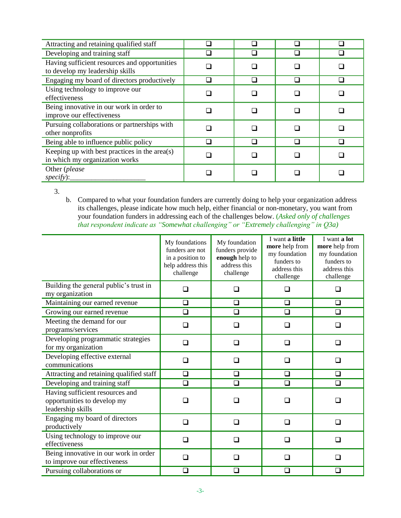| Attracting and retaining qualified staff                                         |  |  |
|----------------------------------------------------------------------------------|--|--|
| Developing and training staff                                                    |  |  |
| Having sufficient resources and opportunities<br>to develop my leadership skills |  |  |
| Engaging my board of directors productively                                      |  |  |
| Using technology to improve our<br>effectiveness                                 |  |  |
| Being innovative in our work in order to<br>improve our effectiveness            |  |  |
| Pursuing collaborations or partnerships with<br>other nonprofits                 |  |  |
| Being able to influence public policy                                            |  |  |
| Keeping up with best practices in the area(s)<br>in which my organization works  |  |  |
| Other (please<br>$specify)$ :                                                    |  |  |

3.

b. Compared to what your foundation funders are currently doing to help your organization address its challenges, please indicate how much help, either financial or non-monetary, you want from your foundation funders in addressing each of the challenges below. (*Asked only of challenges that respondent indicate as "Somewhat challenging" or "Extremely challenging" in Q3a)*

|                                                                                     | My foundations<br>funders are not<br>in a position to<br>help address this<br>challenge | I want a little<br>My foundation<br>more help from<br>funders provide<br>my foundation<br>enough help to<br>funders to<br>address this<br>address this<br>challenge<br>challenge |        | I want a lot<br>more help from<br>my foundation<br>funders to<br>address this<br>challenge |  |
|-------------------------------------------------------------------------------------|-----------------------------------------------------------------------------------------|----------------------------------------------------------------------------------------------------------------------------------------------------------------------------------|--------|--------------------------------------------------------------------------------------------|--|
| Building the general public's trust in<br>my organization                           | □                                                                                       | □                                                                                                                                                                                | ❏      | $\Box$                                                                                     |  |
| Maintaining our earned revenue                                                      | $\Box$                                                                                  | $\Box$                                                                                                                                                                           | $\Box$ | $\Box$                                                                                     |  |
| Growing our earned revenue                                                          | $\Box$                                                                                  | $\Box$                                                                                                                                                                           | $\Box$ | □                                                                                          |  |
| Meeting the demand for our<br>programs/services                                     | $\Box$                                                                                  | ◻                                                                                                                                                                                | □      | □                                                                                          |  |
| Developing programmatic strategies<br>for my organization                           | □                                                                                       | □<br>□                                                                                                                                                                           |        | $\Box$                                                                                     |  |
| Developing effective external<br>communications                                     | $\Box$                                                                                  | ❏                                                                                                                                                                                | ❏      | □                                                                                          |  |
| Attracting and retaining qualified staff                                            | □                                                                                       | $\Box$                                                                                                                                                                           | ❏      | $\Box$                                                                                     |  |
| Developing and training staff                                                       | $\Box$                                                                                  | ❏                                                                                                                                                                                | □      | $\Box$                                                                                     |  |
| Having sufficient resources and<br>opportunities to develop my<br>leadership skills | ❏                                                                                       | ∩                                                                                                                                                                                | □      | ∩                                                                                          |  |
| Engaging my board of directors<br>productively                                      | $\Box$                                                                                  | $\Box$                                                                                                                                                                           | $\Box$ | П                                                                                          |  |
| Using technology to improve our<br>effectiveness                                    | ❏                                                                                       | □<br>□                                                                                                                                                                           |        |                                                                                            |  |
| Being innovative in our work in order<br>to improve our effectiveness               | $\Box$                                                                                  | □                                                                                                                                                                                | □      | □                                                                                          |  |
| Pursuing collaborations or                                                          | □                                                                                       | $\Box$                                                                                                                                                                           | ❏      | $\Box$                                                                                     |  |